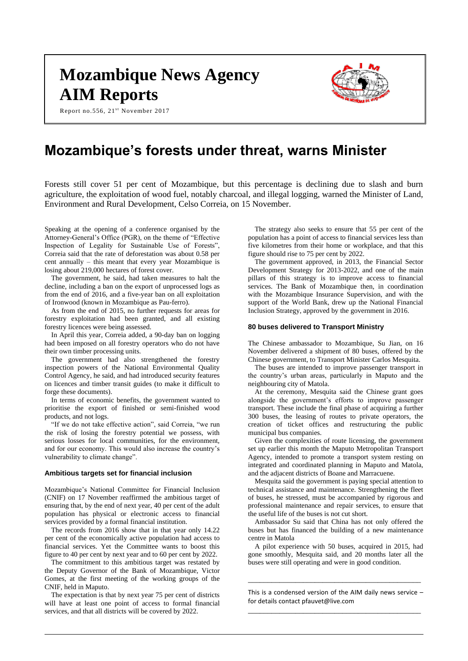# **Mozambique News Agency AIM Reports**

Report no.556, 21<sup>st</sup> November 2017



# **Mozambique's forests under threat, warns Minister**

Forests still cover 51 per cent of Mozambique, but this percentage is declining due to slash and burn agriculture, the exploitation of wood fuel, notably charcoal, and illegal logging, warned the Minister of Land, Environment and Rural Development, Celso Correia, on 15 November.

Speaking at the opening of a conference organised by the Attorney-General's Office (PGR), on the theme of "Effective Inspection of Legality for Sustainable Use of Forests", Correia said that the rate of deforestation was about 0.58 per cent annually – this meant that every year Mozambique is losing about 219,000 hectares of forest cover.

The government, he said, had taken measures to halt the decline, including a ban on the export of unprocessed logs as from the end of 2016, and a five-year ban on all exploitation of Ironwood (known in Mozambique as Pau-ferro).

As from the end of 2015, no further requests for areas for forestry exploitation had been granted, and all existing forestry licences were being assessed.

In April this year, Correia added, a 90-day ban on logging had been imposed on all forestry operators who do not have their own timber processing units.

The government had also strengthened the forestry inspection powers of the National Environmental Quality Control Agency, he said, and had introduced security features on licences and timber transit guides (to make it difficult to forge these documents).

In terms of economic benefits, the government wanted to prioritise the export of finished or semi-finished wood products, and not logs.

"If we do not take effective action", said Correia, "we run the risk of losing the forestry potential we possess, with serious losses for local communities, for the environment, and for our economy. This would also increase the country's vulnerability to climate change".

#### **Ambitious targets set for financial inclusion**

Mozambique's National Committee for Financial Inclusion (CNIF) on 17 November reaffirmed the ambitious target of ensuring that, by the end of next year, 40 per cent of the adult population has physical or electronic access to financial services provided by a formal financial institution.

The records from 2016 show that in that year only 14.22 per cent of the economically active population had access to financial services. Yet the Committee wants to boost this figure to 40 per cent by next year and to 60 per cent by 2022.

The commitment to this ambitious target was restated by the Deputy Governor of the Bank of Mozambique, Victor Gomes, at the first meeting of the working groups of the CNIF, held in Maputo.

The expectation is that by next year 75 per cent of districts will have at least one point of access to formal financial services, and that all districts will be covered by 2022.

The strategy also seeks to ensure that 55 per cent of the population has a point of access to financial services less than five kilometres from their home or workplace, and that this figure should rise to 75 per cent by 2022.

The government approved, in 2013, the Financial Sector Development Strategy for 2013-2022, and one of the main pillars of this strategy is to improve access to financial services. The Bank of Mozambique then, in coordination with the Mozambique Insurance Supervision, and with the support of the World Bank, drew up the National Financial Inclusion Strategy, approved by the government in 2016.

#### **80 buses delivered to Transport Ministry**

The Chinese ambassador to Mozambique, Su Jian, on 16 November delivered a shipment of 80 buses, offered by the Chinese government, to Transport Minister Carlos Mesquita.

The buses are intended to improve passenger transport in the country's urban areas, particularly in Maputo and the neighbouring city of Matola.

At the ceremony, Mesquita said the Chinese grant goes alongside the government's efforts to improve passenger transport. These include the final phase of acquiring a further 300 buses, the leasing of routes to private operators, the creation of ticket offices and restructuring the public municipal bus companies.

Given the complexities of route licensing, the government set up earlier this month the Maputo Metropolitan Transport Agency, intended to promote a transport system resting on integrated and coordinated planning in Maputo and Matola, and the adjacent districts of Boane and Marracuene.

Mesquita said the government is paying special attention to technical assistance and maintenance. Strengthening the fleet of buses, he stressed, must be accompanied by rigorous and professional maintenance and repair services, to ensure that the useful life of the buses is not cut short.

Ambassador Su said that China has not only offered the buses but has financed the building of a new maintenance centre in Matola

A pilot experience with 50 buses, acquired in 2015, had gone smoothly, Mesquita said, and 20 months later all the buses were still operating and were in good condition.

This is a condensed version of the AIM daily news service – for details contact [pfauvet@live.com](mailto:pfauvet@live.com) \_\_\_\_\_\_\_\_\_\_\_\_\_\_\_\_\_\_\_\_\_\_\_\_\_\_\_\_\_\_\_\_\_\_\_\_\_\_\_\_\_\_\_\_

\_\_\_\_\_\_\_\_\_\_\_\_\_\_\_\_\_\_\_\_\_\_\_\_\_\_\_\_\_\_\_\_\_\_\_\_\_\_\_\_\_\_\_\_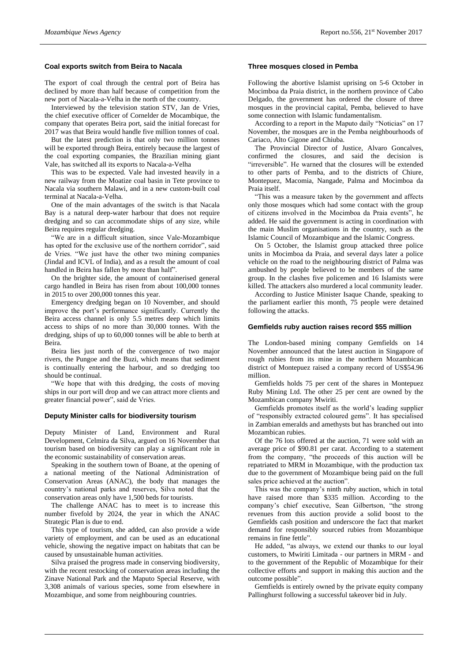# **Coal exports switch from Beira to Nacala**

The export of coal through the central port of Beira has declined by more than half because of competition from the new port of Nacala-a-Velha in the north of the country.

Interviewed by the television station STV, Jan de Vries, the chief executive officer of Cornelder de Mocambique, the company that operates Beira port, said the initial forecast for 2017 was that Beira would handle five million tonnes of coal.

But the latest prediction is that only two million tonnes will be exported through Beira, entirely because the largest of the coal exporting companies, the Brazilian mining giant Vale, has switched all its exports to Nacala-a-Velha

This was to be expected. Vale had invested heavily in a new railway from the Moatize coal basin in Tete province to Nacala via southern Malawi, and in a new custom-built coal terminal at Nacala-a-Velha.

One of the main advantages of the switch is that Nacala Bay is a natural deep-water harbour that does not require dredging and so can accommodate ships of any size, while Beira requires regular dredging.

"We are in a difficult situation, since Vale-Mozambique has opted for the exclusive use of the northern corridor", said de Vries. "We just have the other two mining companies (Jindal and ICVL of India), and as a result the amount of coal handled in Beira has fallen by more than half".

On the brighter side, the amount of containerised general cargo handled in Beira has risen from about 100,000 tonnes in 2015 to over 200,000 tonnes this year.

Emergency dredging began on 10 November, and should improve the port's performance significantly. Currently the Beira access channel is only 5.5 metres deep which limits access to ships of no more than 30,000 tonnes. With the dredging, ships of up to 60,000 tonnes will be able to berth at Beira.

Beira lies just north of the convergence of two major rivers, the Pungoe and the Buzi, which means that sediment is continually entering the harbour, and so dredging too should be continual.

"We hope that with this dredging, the costs of moving ships in our port will drop and we can attract more clients and greater financial power", said de Vries.

#### **Deputy Minister calls for biodiversity tourism**

Deputy Minister of Land, Environment and Rural Development, Celmira da Silva, argued on 16 November that tourism based on biodiversity can play a significant role in the economic sustainability of conservation areas.

Speaking in the southern town of Boane, at the opening of a national meeting of the National Administration of Conservation Areas (ANAC), the body that manages the country's national parks and reserves, Silva noted that the conservation areas only have 1,500 beds for tourists.

The challenge ANAC has to meet is to increase this number fivefold by 2024, the year in which the ANAC Strategic Plan is due to end.

This type of tourism, she added, can also provide a wide variety of employment, and can be used as an educational vehicle, showing the negative impact on habitats that can be caused by unsustainable human activities.

Silva praised the progress made in conserving biodiversity, with the recent restocking of conservation areas including the Zinave National Park and the Maputo Special Reserve, with 3,308 animals of various species, some from elsewhere in Mozambique, and some from neighbouring countries.

# **Three mosques closed in Pemba**

Following the abortive Islamist uprising on 5-6 October in Mocimboa da Praia district, in the northern province of Cabo Delgado, the government has ordered the closure of three mosques in the provincial capital, Pemba, believed to have some connection with Islamic fundamentalism.

According to a report in the Maputo daily "Noticias" on 17 November, the mosques are in the Pemba neighbourhoods of Cariaco, Alto Gigone and Chiuba.

The Provincial Director of Justice, Alvaro Goncalves, confirmed the closures, and said the decision is "irreversible". He warned that the closures will be extended to other parts of Pemba, and to the districts of Chiure, Montepuez, Macomia, Nangade, Palma and Mocimboa da Praia itself.

"This was a measure taken by the government and affects only those mosques which had some contact with the group of citizens involved in the Mocimboa da Praia events", he added. He said the government is acting in coordination with the main Muslim organisations in the country, such as the Islamic Council of Mozambique and the Islamic Congress.

On 5 October, the Islamist group attacked three police units in Mocimboa da Praia, and several days later a police vehicle on the road to the neighbouring district of Palma was ambushed by people believed to be members of the same group. In the clashes five policemen and 16 Islamists were killed. The attackers also murdered a local community leader.

According to Justice Minister Isaque Chande, speaking to the parliament earlier this month, 75 people were detained following the attacks.

# **Gemfields ruby auction raises record \$55 million**

The London-based mining company Gemfields on 14 November announced that the latest auction in Singapore of rough rubies from its mine in the northern Mozambican district of Montepuez raised a company record of US\$54.96 million.

Gemfields holds 75 per cent of the shares in Montepuez Ruby Mining Ltd. The other 25 per cent are owned by the Mozambican company Mwiriti.

Gemfields promotes itself as the world's leading supplier of "responsibly extracted coloured gems". It has specialised in Zambian emeralds and amethysts but has branched out into Mozambican rubies.

Of the 76 lots offered at the auction, 71 were sold with an average price of \$90.81 per carat. According to a statement from the company, "the proceeds of this auction will be repatriated to MRM in Mozambique, with the production tax due to the government of Mozambique being paid on the full sales price achieved at the auction".

This was the company's ninth ruby auction, which in total have raised more than \$335 million. According to the company's chief executive, Sean Gilbertson, "the strong revenues from this auction provide a solid boost to the Gemfields cash position and underscore the fact that market demand for responsibly sourced rubies from Mozambique remains in fine fettle".

He added, "as always, we extend our thanks to our loyal customers, to Mwiriti Limitada - our partners in MRM - and to the government of the Republic of Mozambique for their collective efforts and support in making this auction and the outcome possible".

Gemfields is entirely owned by the private equity company Pallinghurst following a successful takeover bid in July.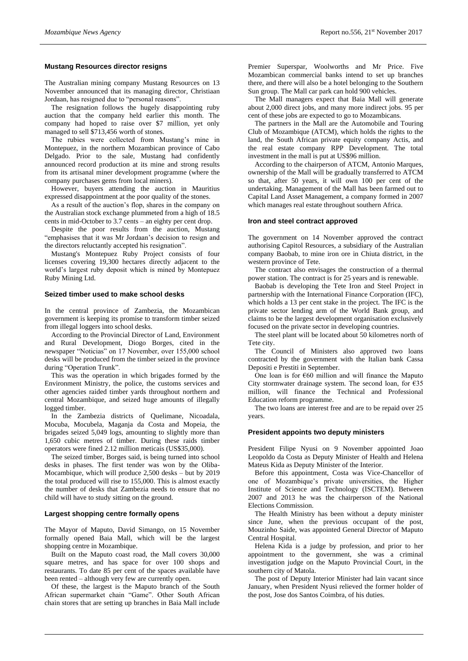# **Mustang Resources director resigns**

The Australian mining company Mustang Resources on 13 November announced that its managing director, Christiaan Jordaan, has resigned due to "personal reasons".

The resignation follows the hugely disappointing ruby auction that the company held earlier this month. The company had hoped to raise over \$7 million, yet only managed to sell \$713,456 worth of stones.

The rubies were collected from Mustang's mine in Montepuez, in the northern Mozambican province of Cabo Delgado. Prior to the sale, Mustang had confidently announced record production at its mine and strong results from its artisanal miner development programme (where the company purchases gems from local miners).

However, buyers attending the auction in Mauritius expressed disappointment at the poor quality of the stones.

As a result of the auction's flop, shares in the company on the Australian stock exchange plummeted from a high of 18.5 cents in mid-October to 3.7 cents – an eighty per cent drop.

Despite the poor results from the auction, Mustang "emphasises that it was Mr Jordaan's decision to resign and the directors reluctantly accepted his resignation".

Mustang's Montepuez Ruby Project consists of four licenses covering 19,300 hectares directly adjacent to the world's largest ruby deposit which is mined by Montepuez Ruby Mining Ltd.

#### **Seized timber used to make school desks**

In the central province of Zambezia, the Mozambican government is keeping its promise to transform timber seized from illegal loggers into school desks.

According to the Provincial Director of Land, Environment and Rural Development, Diogo Borges, cited in the newspaper "Noticias" on 17 November, over 155,000 school desks will be produced from the timber seized in the province during "Operation Trunk".

This was the operation in which brigades formed by the Environment Ministry, the police, the customs services and other agencies raided timber yards throughout northern and central Mozambique, and seized huge amounts of illegally logged timber.

In the Zambezia districts of Quelimane, Nicoadala, Mocuba, Mocubela, Maganja da Costa and Mopeia, the brigades seized 5,049 logs, amounting to slightly more than 1,650 cubic metres of timber. During these raids timber operators were fined 2.12 million meticais (US\$35,000).

The seized timber, Borges said, is being turned into school desks in phases. The first tender was won by the Oliba-Mocambique, which will produce 2,500 desks – but by 2019 the total produced will rise to 155,000. This is almost exactly the number of desks that Zambezia needs to ensure that no child will have to study sitting on the ground.

# **Largest shopping centre formally opens**

The Mayor of Maputo, David Simango, on 15 November formally opened Baia Mall, which will be the largest shopping centre in Mozambique.

Built on the Maputo coast road, the Mall covers 30,000 square metres, and has space for over 100 shops and restaurants. To date 85 per cent of the spaces available have been rented – although very few are currently open.

Of these, the largest is the Maputo branch of the South African supermarket chain "Game". Other South African chain stores that are setting up branches in Baia Mall include

Premier Superspar, Woolworths and Mr Price. Five Mozambican commercial banks intend to set up branches there, and there will also be a hotel belonging to the Southern Sun group. The Mall car park can hold 900 vehicles.

The Mall managers expect that Baia Mall will generate about 2,000 direct jobs, and many more indirect jobs. 95 per cent of these jobs are expected to go to Mozambicans.

The partners in the Mall are the Automobile and Touring Club of Mozambique (ATCM), which holds the rights to the land, the South African private equity company Actis, and the real estate company RPP Development. The total investment in the mall is put at US\$96 million.

According to the chairperson of ATCM, Antonio Marques, ownership of the Mall will be gradually transferred to ATCM so that, after 50 years, it will own 100 per cent of the undertaking. Management of the Mall has been farmed out to Capital Land Asset Management, a company formed in 2007 which manages real estate throughout southern Africa.

#### **Iron and steel contract approved**

The government on 14 November approved the contract authorising Capitol Resources, a subsidiary of the Australian company Baobab, to mine iron ore in Chiuta district, in the western province of Tete.

The contract also envisages the construction of a thermal power station. The contract is for 25 years and is renewable.

Baobab is developing the Tete Iron and Steel Project in partnership with the International Finance Corporation (IFC), which holds a 13 per cent stake in the project. The IFC is the private sector lending arm of the World Bank group, and claims to be the largest development organisation exclusively focused on the private sector in developing countries.

The steel plant will be located about 50 kilometres north of Tete city.

The Council of Ministers also approved two loans contracted by the government with the Italian bank Cassa Depositi e Prestiti in September.

One loan is for  $660$  million and will finance the Maputo City stormwater drainage system. The second loan, for  $\epsilon$ 35 million, will finance the Technical and Professional Education reform programme.

The two loans are interest free and are to be repaid over 25 years.

# **President appoints two deputy ministers**

President Filipe Nyusi on 9 November appointed Joao Leopoldo da Costa as Deputy Minister of Health and Helena Mateus Kida as Deputy Minister of the Interior.

Before this appointment, Costa was Vice-Chancellor of one of Mozambique's private universities, the Higher Institute of Science and Technology (ISCTEM). Between 2007 and 2013 he was the chairperson of the National Elections Commission.

The Health Ministry has been without a deputy minister since June, when the previous occupant of the post, Mouzinho Saide, was appointed General Director of Maputo Central Hospital.

Helena Kida is a judge by profession, and prior to her appointment to the government, she was a criminal investigation judge on the Maputo Provincial Court, in the southern city of Matola.

The post of Deputy Interior Minister had lain vacant since January, when President Nyusi relieved the former holder of the post, Jose dos Santos Coimbra, of his duties.